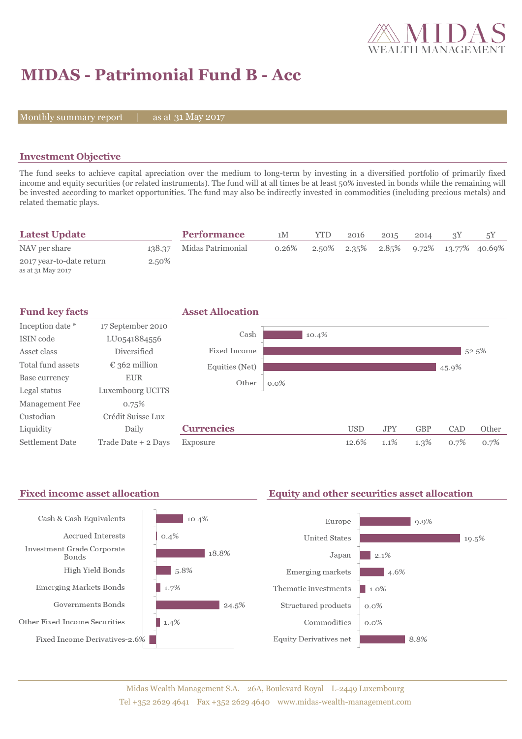

# **MIDAS - Patrimonial Fund B - Acc**

Monthly summary report  $\|$ 

as at 31 May 2017

### **Investment Objective**

The fund seeks to achieve capital apreciation over the medium to long-term by investing in a diversified portfolio of primarily fixed income and equity securities (or related instruments). The fund will at all times be at least 50% invested in bonds while the remaining will be invested according to market opportunities. The fund may also be indirectly invested in commodities (including precious metals) and related thematic plays.

| <b>Latest Update</b>                          |        | <b>Performance</b> | 1М    | YTD | 2016 | 2015 | 2014 | 5Y                                                      |
|-----------------------------------------------|--------|--------------------|-------|-----|------|------|------|---------------------------------------------------------|
| NAV per share                                 | 138.37 | Midas Patrimonial  | 0.26% |     |      |      |      | $2.50\%$ $2.35\%$ $2.85\%$ $9.72\%$ $13.77\%$ $40.69\%$ |
| 2017 year-to-date return<br>as at 31 May 2017 | 2.50%  |                    |       |     |      |      |      |                                                         |

| <b>Fund key facts</b>  |                        | <b>Asset Allocation</b> |         |            |            |            |       |       |
|------------------------|------------------------|-------------------------|---------|------------|------------|------------|-------|-------|
| Inception date *       | 17 September 2010      |                         |         |            |            |            |       |       |
| ISIN code              | LU0541884556           | Cash                    | 10.4%   |            |            |            |       |       |
| Asset class            | <b>Diversified</b>     | Fixed Income            |         |            |            |            |       | 52.5% |
| Total fund assets      | $\epsilon$ 362 million | Equities (Net)          |         |            |            |            | 45.9% |       |
| Base currency          | <b>EUR</b>             | Other                   | $0.0\%$ |            |            |            |       |       |
| Legal status           | Luxembourg UCITS       |                         |         |            |            |            |       |       |
| Management Fee         | 0.75%                  |                         |         |            |            |            |       |       |
| Custodian              | Crédit Suisse Lux      |                         |         |            |            |            |       |       |
| Liquidity              | Daily                  | <b>Currencies</b>       |         | <b>USD</b> | <b>JPY</b> | <b>GBP</b> | CAD   | Other |
| <b>Settlement Date</b> | Trade Date + 2 Days    | Exposure                |         | 12.6%      | 1.1%       | $1.3\%$    | 0.7%  | 0.7%  |

### Fixed income asset allocation **Equity and other securities asset allocation**

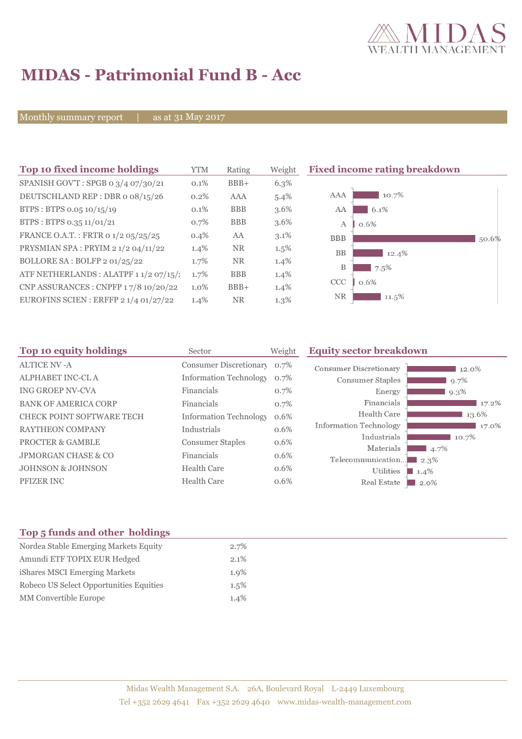

## **MIDAS - Patrimonial Fund B - Acc**

Monthly summary report | as at 31 May 2017

| Top 10 fixed income holdings           | YTM     | Rating     | Weight  | <b>Fixed income rating breakdown</b> |       |
|----------------------------------------|---------|------------|---------|--------------------------------------|-------|
| SPANISH GOV'T: SPGB 0 3/4 07/30/21     | 0.1%    | $BBB+$     | 6.3%    |                                      |       |
| DEUTSCHLAND REP : DBR o 08/15/26       | 0.2%    | AAA        | $5.4\%$ | 10.7%<br>AAA                         |       |
| BTPS: BTPS 0.05 10/15/19               | $0.1\%$ | <b>BBB</b> | $3.6\%$ | 6.1%<br>AA                           |       |
| BTPS: BTPS 0.35 11/01/21               | 0.7%    | <b>BBB</b> | $3.6\%$ | A<br>0.6%                            |       |
| FRANCE O.A.T.: FRTR 0 1/2 05/25/25     | $0.4\%$ | AA         | $3.1\%$ | <b>BBB</b>                           | 50.6% |
| PRYSMIAN SPA: PRYIM 2 1/2 04/11/22     | 1.4%    | <b>NR</b>  | $1.5\%$ | <b>BB</b><br>12.4%                   |       |
| BOLLORE SA: BOLFP 2 01/25/22           | 1.7%    | <b>NR</b>  | 1.4%    | В<br>7.5%                            |       |
| ATF NETHERLANDS : ALATPF 1 1/2 07/15/: | 1.7%    | <b>BBB</b> | $1.4\%$ |                                      |       |
| CNP ASSURANCES : CNPFP 17/8 10/20/22   | $1.0\%$ | $BBB+$     | $1.4\%$ | CCC<br>0.6%                          |       |
| EUROFINS SCIEN : ERFFP $21/401/27/22$  | 1.4%    | <b>NR</b>  | 1.3%    | <b>NR</b><br>11.5%                   |       |

| Top 10 equity holdings           | Sector                        | Weight  | <b>Equity sector breakdown</b> |                 |  |
|----------------------------------|-------------------------------|---------|--------------------------------|-----------------|--|
| <b>ALTICE NV-A</b>               | Consumer Discretionary 0.7%   |         | <b>Consumer Discretionary</b>  | 12.0%           |  |
| ALPHABET INC-CL A                | <b>Information Technology</b> | 0.7%    | Consumer Staples               | 9.7%            |  |
| <b>ING GROEP NV-CVA</b>          | Financials                    | 0.7%    | Energy                         | 9.3%            |  |
| <b>BANK OF AMERICA CORP</b>      | Financials                    | 0.7%    | Financials                     | 17.2%           |  |
| <b>CHECK POINT SOFTWARE TECH</b> | <b>Information Technology</b> | 0.6%    | Health Care                    | 13.6%           |  |
| <b>RAYTHEON COMPANY</b>          | Industrials                   | 0.6%    | Information Technology         | $17.0\%$        |  |
| <b>PROCTER &amp; GAMBLE</b>      | <b>Consumer Staples</b>       | 0.6%    | Industrials                    | 10.7%           |  |
| <b>JPMORGAN CHASE &amp; CO</b>   | Financials                    | $0.6\%$ | Materials                      | 4.7%            |  |
| <b>JOHNSON &amp; JOHNSON</b>     | Health Care                   | 0.6%    | Telecommunication              | $\Box$ 2.3%     |  |
| <b>PFIZER INC</b>                | <b>Health Care</b>            | 0.6%    | Utilities<br>Real Estate       | $1.4\%$<br>2.0% |  |

## **Top 5 funds and other holdings**

| Nordea Stable Emerging Markets Equity   | $2.7\%$ |
|-----------------------------------------|---------|
| Amundi ETF TOPIX EUR Hedged             | $2.1\%$ |
| iShares MSCI Emerging Markets           | $1.9\%$ |
| Robeco US Select Opportunities Equities | $1.5\%$ |
| <b>MM</b> Convertible Europe            | 1.4%    |